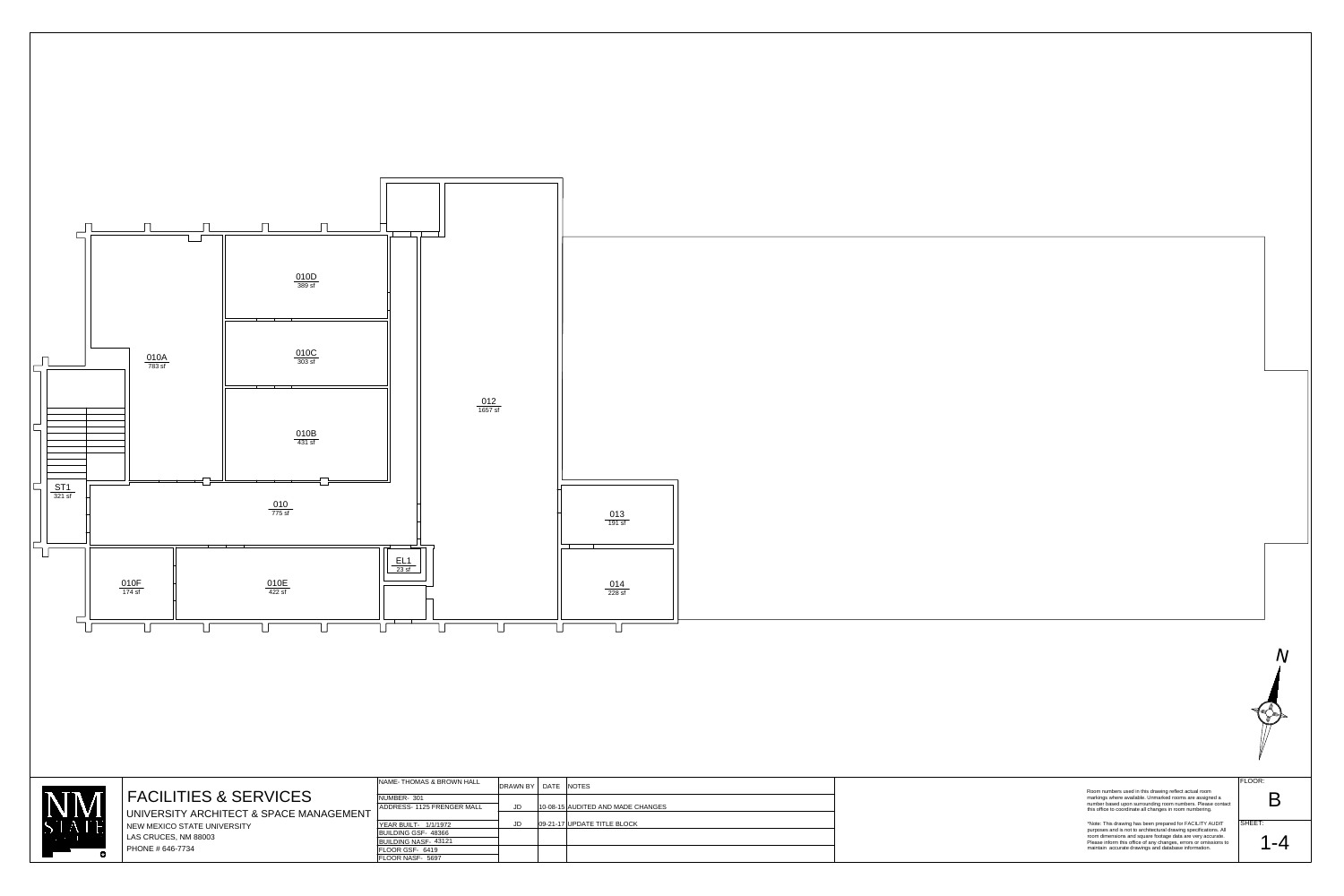

ACILITIES & SERVICES WARE-TICKIAS & BOWHICLE OR WARE TICKIAS & BOWHICLE OR WARE TICKIAS & BOWHICLE OR WARE TICKIAS & BOWHICLE OR WARE TICKIAS & BOWHICLE OR WARE TICKIAS & BOWHICLE OR WARE TICKIAS & BOWHICH OR WARE TICKIAS





| NAME- THOMAS & BROWN HALL                                           | DRAWN BY   DATE   NOTES |                                   | Room numbers used in this drawing reflect actual room                                                                                                                                                                                                          | FLOOR: |      |
|---------------------------------------------------------------------|-------------------------|-----------------------------------|----------------------------------------------------------------------------------------------------------------------------------------------------------------------------------------------------------------------------------------------------------------|--------|------|
| NUMBER-301<br>ADDRESS- 1125 FRENGER MALL                            | <b>JD</b>               | 10-08-15 AUDITED AND MADE CHANGES | markings where available. Unmarked rooms are assigned a<br>number based upon surrounding room numbers. Please contact<br>this office to coordinate all changes in room numbering.                                                                              |        |      |
| YEAR BUILT- 1/1/1972<br>BUILDING GSF- 48366<br>BUILDING NASF- 43121 | <b>JD</b>               | $ 09-21-17 $ UPDATE TITLE BLOCK   | *Note: This drawing has been prepared for FACILITY AUDIT<br>purposes and is not to architectural drawing specifications. All<br>room dimensions and square footage data are very accurate.<br>Please inform this office of any changes, errors or omissions to | SHEET: | $-4$ |
| FLOOR GSF- 6419<br>FLOOR NASF- 5697                                 |                         |                                   | maintain accurate drawings and database information.                                                                                                                                                                                                           |        |      |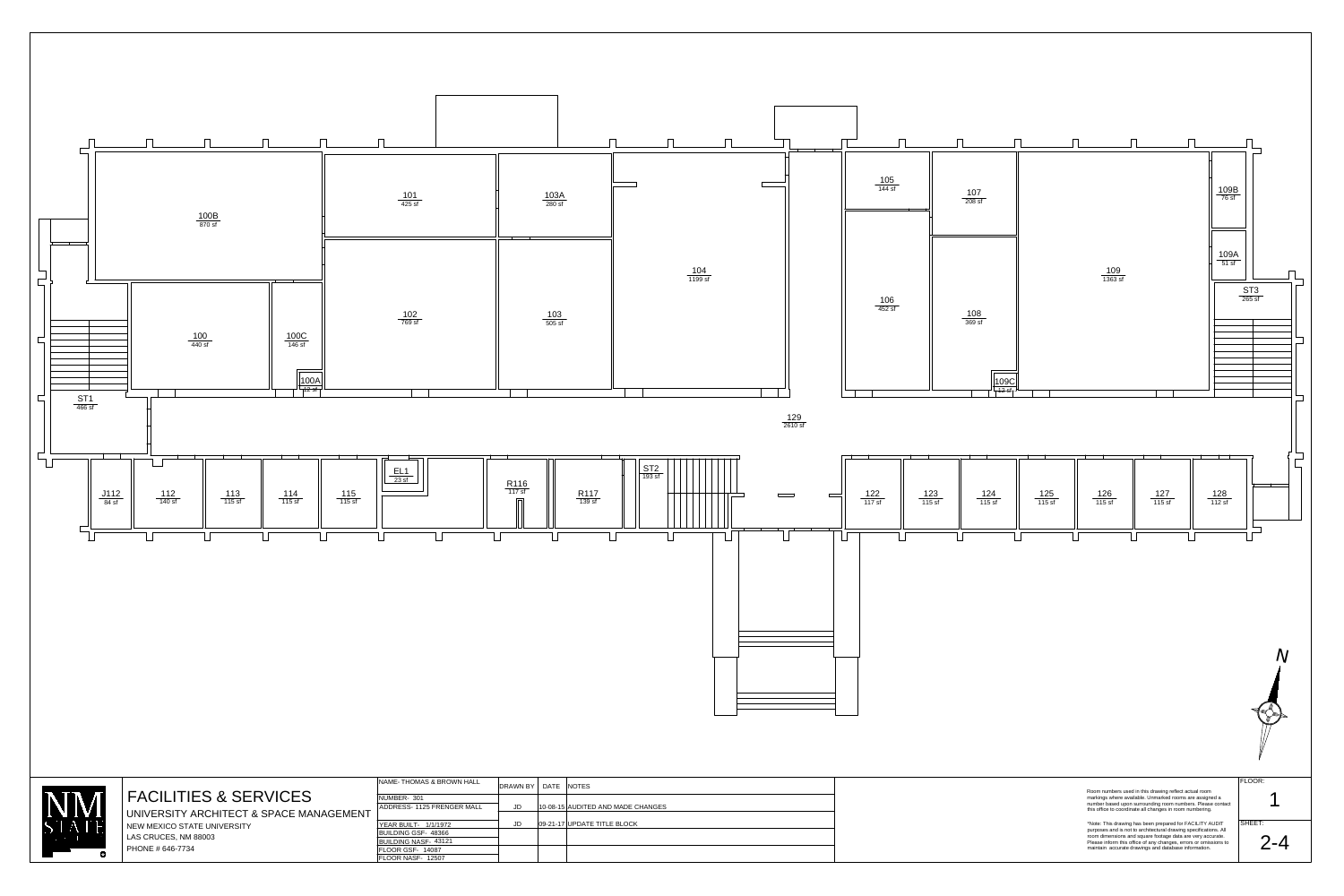





| <b>HALL</b> | DRAWN BY | DATE NOTES |                                   |  |
|-------------|----------|------------|-----------------------------------|--|
|             |          |            |                                   |  |
| <b>MALL</b> | JD       |            | 10-08-15 AUDITED AND MADE CHANGES |  |
|             |          |            |                                   |  |
|             | JD       |            | 09-21-17 UPDATE TITLE BLOCK       |  |
|             |          |            |                                   |  |
|             |          |            |                                   |  |
|             |          |            |                                   |  |
|             |          |            |                                   |  |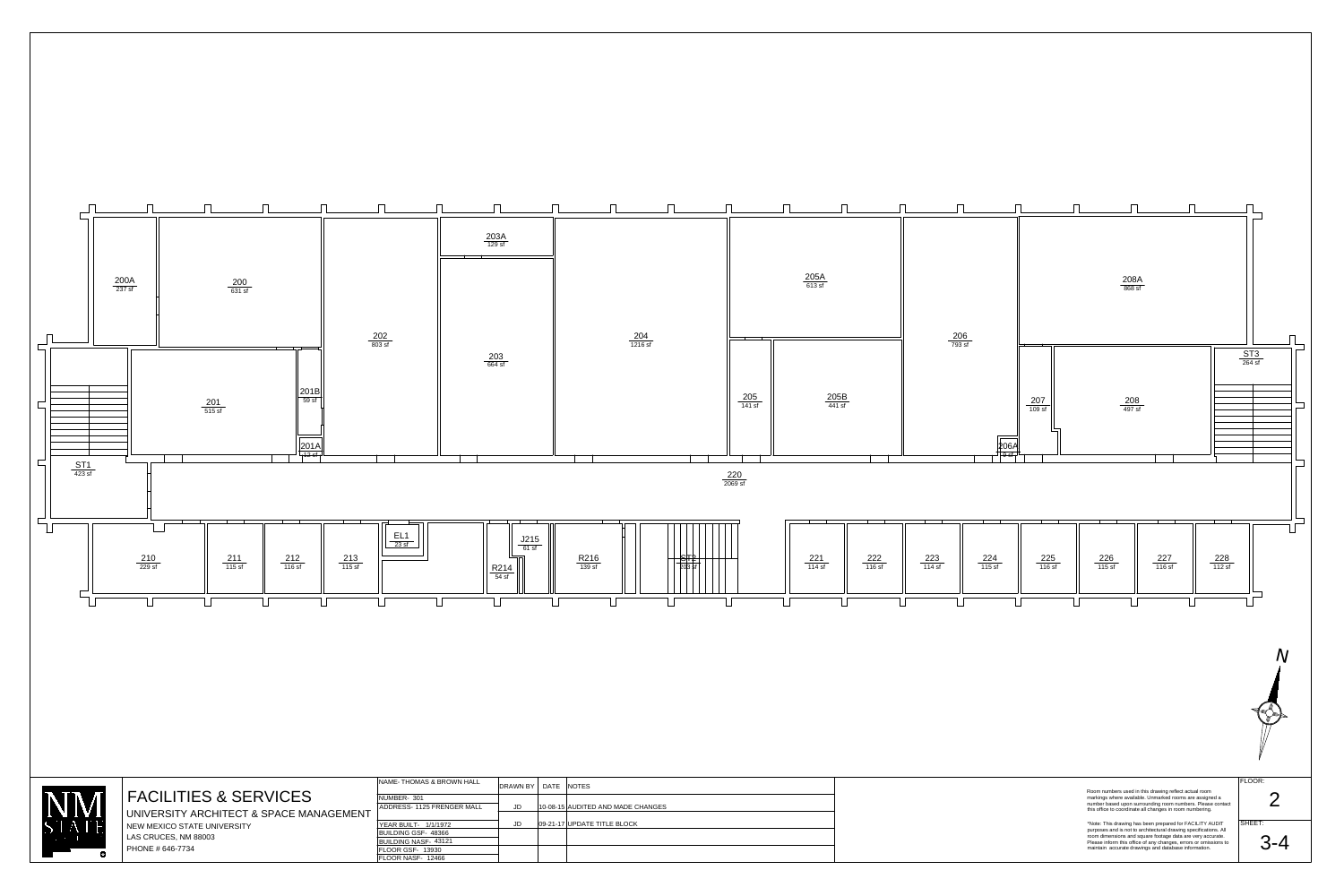



| $\frac{R214}{54 \text{ sf}}$ | $\frac{\text{J215}}{\text{61 sf}}$ | $\frac{R216}{139 \text{ sf}}$ | $\overline{\phantom{a}}$<br>$203$ sf | $\frac{221}{114 \text{ sf}}$ | $\frac{222}{116 \text{ sf}}$ | 22<br>$\overline{114}$ |
|------------------------------|------------------------------------|-------------------------------|--------------------------------------|------------------------------|------------------------------|------------------------|
|                              |                                    |                               |                                      |                              |                              |                        |

| DRAWN BY  | <b>DATE</b> |                                                                                  |
|-----------|-------------|----------------------------------------------------------------------------------|
| JD        |             |                                                                                  |
| <b>JD</b> |             |                                                                                  |
|           |             |                                                                                  |
|           |             |                                                                                  |
|           |             | <b>NOTES</b><br>10-08-15 AUDITED AND MADE CHANGES<br>09-21-17 UPDATE TITLE BLOCK |